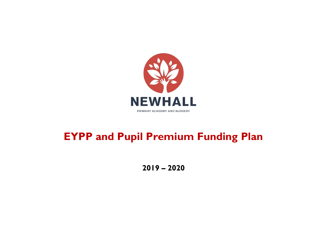

# **EYPP and Pupil Premium Funding Plan**

**2019 – 2020**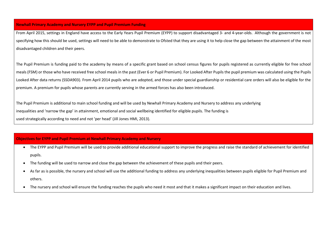#### **Newhall Primary Academy and Nursery EYPP and Pupil Premium Funding**

From April 2015, settings in England have access to the Early Years Pupil Premium (EYPP) to support disadvantaged 3- and 4-year-olds. Although the government is not specifying how this should be used, settings will need to be able to demonstrate to Ofsted that they are using it to help close the gap between the attainment of the most disadvantaged children and their peers.

The Pupil Premium is funding paid to the academy by means of a specific grant based on school census figures for pupils registered as currently eligible for free school meals (FSM) or those who have received free school meals in the past (Ever 6 or Pupil Premium). For Looked After Pupils the pupil premium was calculated using the Pupils Looked After data returns (SSDA903). From April 2014 pupils who are adopted, and those under special guardianship or residential care orders will also be eligible for the premium. A premium for pupils whose parents are currently serving in the armed forces has also been introduced.

The Pupil Premium is additional to main school funding and will be used by Newhall Primary Academy and Nursery to address any underlying inequalities and 'narrow the gap' in attainment, emotional and social wellbeing identified for eligible pupils. The funding is used strategically according to need and not 'per head' (Jill Jones HMI, 2013).

### **Objectives for EYPP and Pupil Premium at Newhall Primary Academy and Nursery**

- The EYPP and Pupil Premium will be used to provide additional educational support to improve the progress and raise the standard of achievement for identified pupils.
- The funding will be used to narrow and close the gap between the achievement of these pupils and their peers.
- As far as is possible, the nursery and school will use the additional funding to address any underlying inequalities between pupils eligible for Pupil Premium and others.
- The nursery and school will ensure the funding reaches the pupils who need it most and that it makes a significant impact on their education and lives.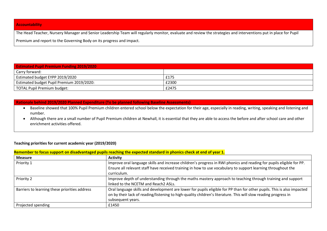#### **Accountability**

The Head Teacher, Nursery Manager and Senior Leadership Team will regularly monitor, evaluate and review the strategies and interventions put in place for Pupil

Premium and report to the Governing Body on its progress and impact.

| <b>Estimated Pupil Premium Funding 2019/2020</b> |       |  |
|--------------------------------------------------|-------|--|
| Carry forward:                                   |       |  |
| Estimated budget EYPP 2019/2020                  | £175  |  |
| Estimated budget Pupil Premium 2019/2020:        | £2300 |  |
| TOTAL Pupil Premium budget:                      | £2475 |  |

#### **Rationale behind 2019/2020 Planned Expenditure (To be planned following Baseline Assessments)**

- Baseline showed that 100% Pupil Premium children entered school below the expectation for their age, especially in reading, writing, speaking and listening and number.
- Although there are a small number of Pupil Premium children at Newhall, it is essential that they are able to access the before and after school care and other enrichment activities offered.

## **Teaching priorities for current academic year (2019/2020)**

| Remember to focus support on disadvantaged pupils reaching the expected standard in phonics check at end of year 1. |                                                                                                                        |  |
|---------------------------------------------------------------------------------------------------------------------|------------------------------------------------------------------------------------------------------------------------|--|
| <b>Measure</b>                                                                                                      | <b>Activity</b>                                                                                                        |  |
| Priority 1                                                                                                          | Improve oral language skills and increase children's progress in RWI phonics and reading for pupils eligible for PP.   |  |
|                                                                                                                     | Ensure all relevant staff have received training in how to use vocabulary to support learning throughout the           |  |
|                                                                                                                     | curriculum.                                                                                                            |  |
| Priority 2                                                                                                          | Improve depth of understanding through the maths mastery approach to teaching through training and support             |  |
|                                                                                                                     | linked to the NCETM and Reach2 ASLs.                                                                                   |  |
| Barriers to learning these priorities address                                                                       | Oral language skills and development are lower for pupils eligible for PP than for other pupils. This is also impacted |  |
|                                                                                                                     | on by their lack of reading/listening to high-quality children's literature. This will slow reading progress in        |  |
|                                                                                                                     | subsequent years.                                                                                                      |  |
| Projected spending                                                                                                  | £1450                                                                                                                  |  |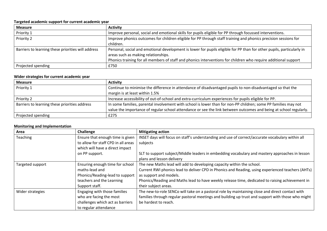# **Targeted academic support for current academic year**

| <b>Measure</b>                                     | <b>Activity</b>                                                                                                       |
|----------------------------------------------------|-----------------------------------------------------------------------------------------------------------------------|
| Priority 1                                         | Improve personal, social and emotional skills for pupils eligible for PP through focussed interventions.              |
| Priority 2                                         | Improve phonics outcomes for children eligible for PP through staff training and phonics precision sessions for       |
|                                                    | children.                                                                                                             |
| Barriers to learning these priorities will address | Personal, social and emotional development is lower for pupils eligible for PP than for other pupils, particularly in |
|                                                    | areas such as making relationships.                                                                                   |
|                                                    | Phonics training for all members of staff and phonics interventions for children who require additional support       |
| Projected spending                                 | £750                                                                                                                  |

# **Wider strategies for current academic year**

| <b>Measure</b>                                | <b>Activity</b>                                                                                                   |
|-----------------------------------------------|-------------------------------------------------------------------------------------------------------------------|
| Priority 1                                    | Continue to minimise the difference in attendance of disadvantaged pupils to non-disadvantaged so that the        |
|                                               | margin is at least within 1.5%                                                                                    |
| Priority 2                                    | Increase accessibility of out-of-school and extra-curriculum experiences for pupils eligible for PP.              |
| Barriers to learning these priorities address | In some families, parental involvement with school is lower than for non-PP children; some PP families may not    |
|                                               | value the importance of regular school attendance or see the link between outcomes and being at school regularly. |
| Projected spending                            | £275                                                                                                              |

## **Monitoring and Implementation**

| Area             | Challenge                           | <b>Mitigating action</b>                                                                          |
|------------------|-------------------------------------|---------------------------------------------------------------------------------------------------|
| Teaching         | Ensure that enough time is given    | INSET days will focus on staff's understanding and use of correct/accurate vocabulary within all  |
|                  | to allow for staff CPD in all areas | subjects                                                                                          |
|                  | which will have a direct impact     |                                                                                                   |
|                  | on PP support.                      | SLT to support subject/Middle leaders in embedding vocabulary and mastery approaches in lesson    |
|                  |                                     | plans and lesson delivery                                                                         |
| Targeted support | Ensuring enough time for school     | The new Maths lead will add to developing capacity within the school.                             |
|                  | maths-lead and                      | Current RWI phonics lead to deliver CPD in Phonics and Reading, using experienced teachers (AHTs) |
|                  | Phonics/Reading-lead to support     | as support and models.                                                                            |
|                  | teachers and the Learning           | Phonics/Reading and Maths lead to have weekly release time, dedicated to raising achievement in   |
|                  | Support staff.                      | their subject areas.                                                                              |
| Wider strategies | Engaging with those families        | The new-to-role SENCo will take on a pastoral role by maintaining close and direct contact with   |
|                  | who are facing the most             | families through regular pastoral meetings and building up trust and support with those who might |
|                  | challenges which act as barriers    | be hardest to reach.                                                                              |
|                  | to regular attendance               |                                                                                                   |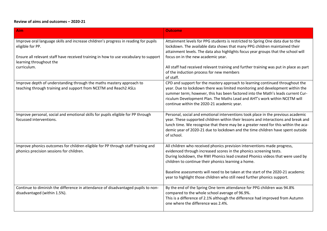# **Review of aims and outcomes – 2020-21**

| <b>Aim</b>                                                                                                                               | <b>Outcome</b>                                                                                                                                                                                                                                                                                                                                                               |
|------------------------------------------------------------------------------------------------------------------------------------------|------------------------------------------------------------------------------------------------------------------------------------------------------------------------------------------------------------------------------------------------------------------------------------------------------------------------------------------------------------------------------|
| Improve oral language skills and increase children's progress in reading for pupils<br>eligible for PP.                                  | Attainment levels for PPG students is restricted to Spring One data due to the<br>lockdown. The available data shows that many PPG children maintained their<br>attainment levels. The data also highlights focus year groups that the school will                                                                                                                           |
| Ensure all relevant staff have received training in how to use vocabulary to support<br>learning throughout the                          | focus on in the new academic year.                                                                                                                                                                                                                                                                                                                                           |
| curriculum.                                                                                                                              | All staff had received relevant training and further training was put in place as part<br>of the induction process for new members<br>of staff.                                                                                                                                                                                                                              |
| Improve depth of understanding through the maths mastery approach to<br>teaching through training and support from NCETM and Reach2 ASLs | CPD and support for the mastery approach to learning continued throughout the<br>year. Due to lockdown there was limited monitoring and development within the<br>summer term; however, this has been factored into the Math's leads current Cur-<br>riculum Development Plan. The Maths Lead and AHT's work within NCETM will<br>continue within the 2020-21 academic year. |
| Improve personal, social and emotional skills for pupils eligible for PP through<br>focussed interventions.                              | Personal, social and emotional interventions took place in the previous academic<br>year. These supported children within their lessons and interactions and break and<br>lunch time. We recognise that there may be a greater need for this within the aca-<br>demic year of 2020-21 due to lockdown and the time children have spent outside<br>of school.                 |
| Improve phonics outcomes for children eligible for PP through staff training and<br>phonics precision sessions for children.             | All children who received phonics prevision interventions made progress,<br>evidenced through increased scores in the phonics screening tests.<br>During lockdown, the RWI Phonics lead created Phonics videos that were used by<br>children to continue their phonics learning a home.                                                                                      |
|                                                                                                                                          | Baseline assessments will need to be taken at the start of the 2020-21 academic<br>year to highlight those children who still need further phonics support.                                                                                                                                                                                                                  |
| Continue to diminish the difference in attendance of disadvantaged pupils to non-<br>disadvantaged (within 1.5%).                        | By the end of the Spring One term attendance for PPG children was 94.8%<br>compared to the whole school average of 96.9%.<br>This is a difference of 2.1% although the difference had improved from Autumn<br>one where the difference was 2.4%.                                                                                                                             |